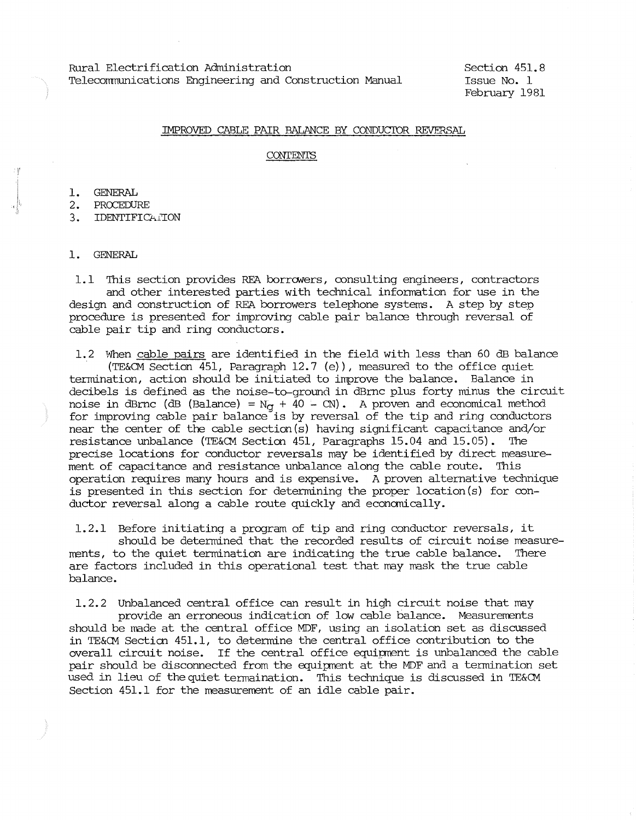Rural Electrification Administration Telecommunications Engineering and Construction Manual Section 451.8 Issue No. 1 February 1981

### IMPROVED CABLE PAIR BALANCE BY CONDUCTOR REVERSAL.

### **CONTENTS**

1. GENERAL

2. PROCEDURE

3. IDENTIFICATION

1. GENERAL

1.1 This section provides REA borrowers, consulting engineers, contractors and other interested parties with technical infonnation for use in the design and construction of REA borrowers telephone systems. A step by step procedure is presented for improving cable pair balance through reversal of cable pair tip and ring conductors.

1. 2 When cable pairs are identified in the field with less than 60 dB balance (TE&CM Section 451, Paragraph 12.7 (e)), measured to the office quiet termination, action should be initiated to improve the balance. Balance in decibels is defined as the noise-to-ground in dBrnc plus forty minus the circuit noise in dBrnc (dB (Balance) =  $N_q$  + 40 - CN). A proven and economical method for improving cable pair balance is by reversal of the tip and ring conductors near the center of the cable section(s) having significant capacitance and/or resistance unbalance (TE&CM Section 451, Paragraphs 15.04 and 15.05). The precise locations for conductor reversals may be identified by direct measurement of capacitance and resistance unbalance along the cable route. This operation requires many hours and is expensive. A proven alternative technique is presented in this section for determining the proper location(s) for conductor reversal along a cable route quickly and econanically.

1.2.1 Before initiating a program of tip and ring conductor reversals, it should be determined that the recorded results of circuit noise measurements, to the quiet termination are indicating the true cable balance. There are factors included in this operational test that may mask the true cable balance.

1.2.2 Unbalanced central office can result in high circuit noise that may provide an erroneous indication of low cable balance. Measurements should be rnade at the central office MDF, using an isolation set as discussed in TE&CM Secticn 451.1, to determine the central office contribution to the overall circuit noise. If the central office equipment is unbalanced the cable pair should be disconnected from the equipment at the MDF and a termination set used in lieu of the quiet tennaination. This technique is discussed in TE&CM Section 451.1 for the measurement of an idle cable pair.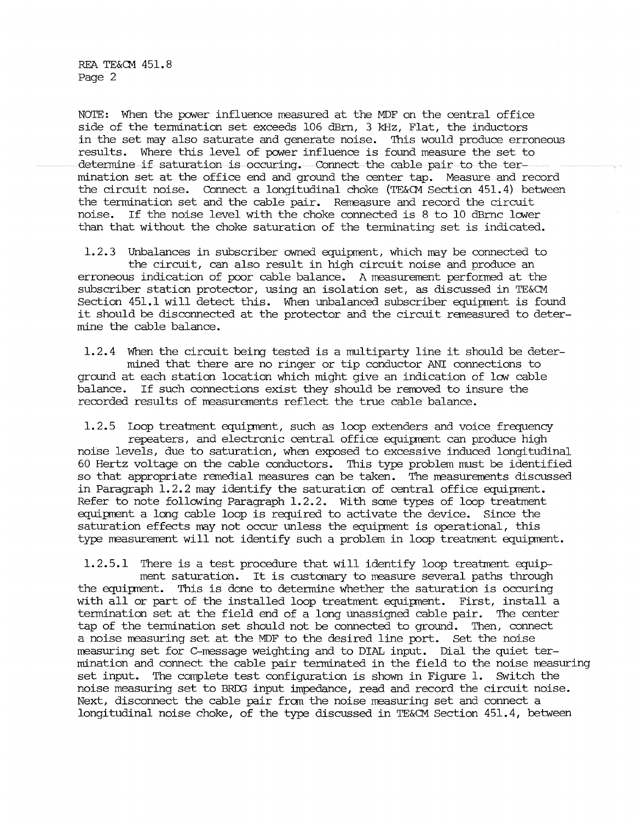REA TE&CM 451.8 Page 2

NOTE: When the power influence measured at the MDF on the central office side of the termination set exceeds 106 dBm, 3 kHz, Flat, the inductors in the set may also saturate and generate noise. This would produce erroneous results. Where this level of power influence is found measure the set to determine if saturation is occuring. Connect the cable pair to the termination set at the office end and ground the center tap. Measure and record the circuit noise. Connect a longitudinal choke (TE&CM Section 451. 4) between the termination set and the cable pair. Remeasure and record the circuit noise. If the noise level with the choke connected is 8 to 10 dBrnc lower than that without the choke saturation of the terminating set is indicated.

1.2.3 Unbalances in subscriber awned equipment, which may be connected to the circuit, can also result in high circuit noise and produce an erroneous indication of poor cable balance. A measurement performed at the subscriber station protector, using an isolation set, as discussed in TE&CM Section 451.1 will detect this. When unbalanced subscriber equipment is found it should be disconnected at the protector and the circuit remeasured to determine the cable balance.

1.2.4 When the circuit being tested is a multiparty line it should be determined that there are no ringer or tip conductor ANI connections to ground at each station location which might give an indication of low cable balance. If such connections exist they should be rerroved to insure the recorded results of measurements reflect the true cable balance.

1.2.5 loop treatment equipnent, such as loop extenders and voice frequency repeaters, and electronic central office equipment can produce high noise levels, due to saturation, when exposed to excessive induced longitudinal 60 Hertz voltage on the cable conductors. This type problem must be identified so that appropriate remedial measures can be taken. The measurements discussed in Paragraph 1.2.2 may identify the saturation of central office equipnent. Refer to note following Paragraph 1.2.2. With some types of loop treatment equipment a long cable loop is required to activate the device. Since the saturation effects may not occur unless the equipnent is operational, this type measurement will not identify such a problem in loop treatment equipment.

1.2.5.1 There is a test procedure that will identify loop treatment equipment saturation. It is customary to measure several paths through the equipnent. This is done to determine whether the saturation is occuring with all or part of the installed loop treatment equipment. First, install a tennination set at the field end of a long unassigned cable pair. The center tap of the termination set should not be connected to ground. Then, connect a noise measuring set at the MDF to the desired line port. Set the noise rreasuring set for C-message weighting and to DIAL input. Dial the quiet termination and connect the cable pair terminated in the field to the noise measuring set input. The complete test configuration is shown in Figure 1. switch the noise measuring set to BRDG input impedance, read and record the circuit noise. Next, disconnect the cable pair from the noise measuring set and connect a longitudinal noise choke, of the type discussed in TE&CM Section 451.4, between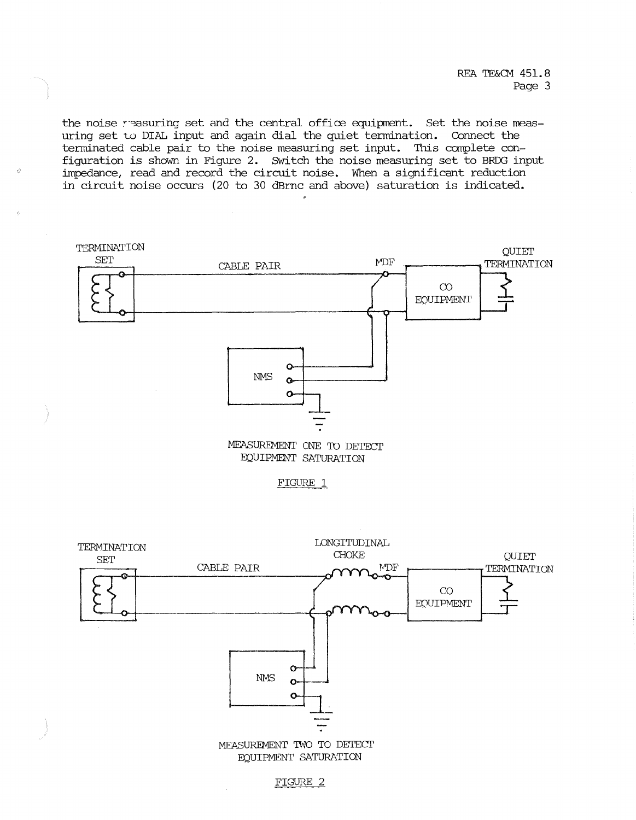the noise reasuring set and the central office equipment. Set the noise measuring set to DIAL input and again dial the quiet termination. Connect the terminated cable pair to the noise measuring set input. This canplete configuration is shown in Figure 2. Switch the noise measuring set to BRDG input impedance, read and record the circuit noise. When a significant reduction in circuit noise occurs (20 to 30 dBrnc and above) saturation is indicated.







### FIGURE 2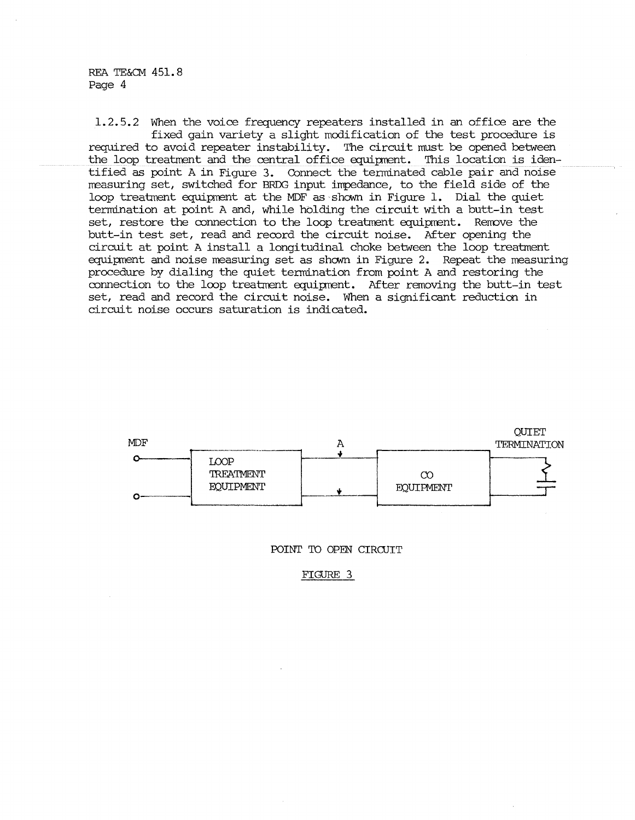## REA TE&CM 451. 8 Page 4

1.2.5.2 When the voice frequency repeaters installed in an office are the fixed gain variety a slight modification of the test procedure is required to avoid repeater instability. The circuit must be opened between the loop treatment and the central office equipment. This location is identified as point A in Figure 3. Connect the terminated cable pair and noise rreasuring set, switched for BRDG input impedance, to the field side of the loop treatment equipment at the MDF as shown in Figure 1. Dial the quiet termination at point A and, while holding the circuit with a butt-in test set, restore the connection to the loop treatment equipment. Remove the butt-in test set, read and record the circuit noise. After opening the circuit at point A install a longitudinal choke between the loop treatment equipment and noise measuring set as shown in Figure 2. Repeat the measuring procedure by dialing the quiet termination from point A and restoring the connection to the loop treatment equipment. After removing the butt-in test set, read and record the circuit noise. When a significant reduction in circuit noise occurs saturation is indicated.



POINT TO OPEN CIRCUIT

FIGURE 3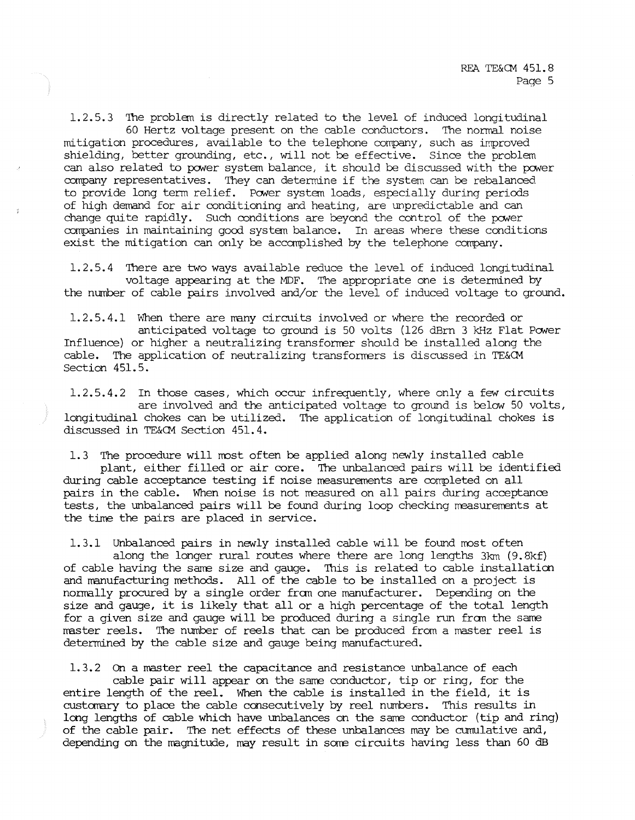1.2.5.3 'Ihe problan is directly related to the level of induced longitudinal 60 Hertz voltage present on the cable conductors. 'Ihe normal noise mitigation procedures, available to the telephone corrpany, such as improved shielding, better grounding, etc., will not be effective. Since the problem can also related to power system balance, it should be discussed with the power company representatives. They can determine if the system can be rebalanced to provide long term relief. Power system loads, especially during periods of high deniand for air conditioning and heating, are unpredictable and can change quite rapidly. Such conditions are beyond the control of the power corrpanies in maintaining good systan balance. In areas where these conditions exist the mitigation can only be accanplished by the telephone corrpany.

1. 2. 5. 4 'Ihere are two ways available reduce the level of induced longitudinal voltage appearing at the MDF. 'Ihe appropriate one is determined by the number of cable pairs involved and/or the level of induced voltage to ground.

1.2.5.4.1 When there are many circuits involved or where the recorded or anticipated voltage to ground is 50 volts (126 dBrn 3 kHz Flat Power Influence) or higher a neutralizing transformer should be installed along the cable. The application of neutralizing transformers is discussed in TE&CM Section 451.5.

1.2.5.4.2 In those cases, which occur infrequently, where only a few circuits are involved and the anticipated voltage to ground is below 50 volts, longitudinal chokes can be utilized. 'Ihe application of longitudinal chokes is discussed in TE&CM Section 451. 4.

1.3 The procedure will most often be applied along newly installed cable plant, either filled or air core. 'Ihe unbalanced pairs will be identified during cable acceptance testing if noise measurements are completed on all pairs in the cable. When noise is not measured on all pairs during acceptance tests, the unbalanced pairs will be found during loop checking measurements at the time the pairs are placed in service.

1.3.1 Unbalanced pairs in newly installed cable will be found most often along the longer rural routes where there are long lengths 3km (9.8kf) of cable having the same size and gauge. 'Ihis is related to cable installation and manufacturing methods. All of the cable to be installed on a project is normally procured by a single order fran one manufacturer. Depending on the size and gauge, it is likely that all or a high percentage of the total length for a given size and gauge will be produced during a single run fran the same master reels. The number of reels that can be produced from a master reel is determined by the cable size and gauge being manufactured.

1. 3. 2 On a master reel the capacitance and resistance unbalance of each cable pair will appear on the same conductor, tip or ring, for the entire length of the reel. When the cable is installed in the field, it is custanary to place the cable consecutively by reel numbers. This results in long lengths of cable which have unbalances on the same conductor (tip and ring) of the cable pair. The net effects of these unbalances may be cumulative and, depending on the magnitude, may result in some circuits having less than 60 dB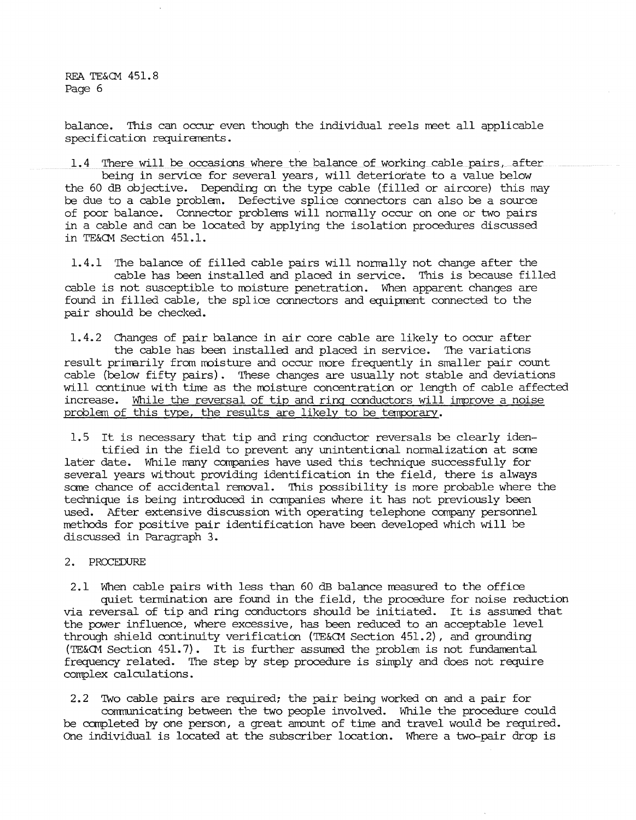REA TE&CM 451.8 Page 6

balance. This can occur even though the individual reels meet all applicable specification requirements.

1.4 There will be occasions where the balance of working cable pairs, after being in service for several years, will deteriorate to a value below the 60 dB objective. Depending on the type cable (filled or aircore) this may be due to a cable problem. Defective splice connectors can also be a source of poor balance. Connector problems will norrrally occur on one or two pairs in a cable and can be located by applying the isolation procedures discussed in TE&CM Section 451.1.

1.4.1 The balance of filled cable pairs will normally not change after the cable has been installed and placed in service. This is because filled cable is not susceptible to moisture penetration. When apparent changes are found in filled cable, the splice connectors and equipment connected to the pair should be checked.

1.4.2 Changes of pair balance in air core cable are likely to occur after the cable has been installed and placed in service. The variations result primarily from moisture and occur more frequently in smaller pair count cable (belov-1 fifty pairs). These changes are usually not stable and deviations will continue with time as the moisture concentration or length of cable affected increase. While the reversal of tip and ring conductors will improve a noise problem of this type, the results are likely to be tanporary.

1.5 It is necessary that tip and ring conductor reversals be clearly identified in the field to prevent any unintentional nonnalization at sare later date. While many companies have used this technique successfully for several years without providing identification in the field, there is always sare chance of accidental removal. 'Ihis possibility is more probable where the technique is being introduced in canpanies where it has not previously been used. After extensive discussion with operating telephone company personnel methods for positive pair identification have been developed which will be discussed in Paragraph 3.

# 2. PROCEDURE

2.1 When cable pairs with less than 60 dB balance measured to the office quiet tennination are found in the field, the procedure for noise reduction via reversal of tip and ring conductors should be initiated. It is assumed that the power influence, where excessive, has been reduced to an acceptable level through shield continuity verification (TE&OM Section 451.2), and grounding (TE&CM Section 451. 7) . It is further assurred the problem is not fundamental frequency related. The step by step procedure is simply and does not require complex calculations.

2.2 'Iwo cable pairs are required; the pair being worked on and a pair for communicating between the two people involved. While the procedure could be carpleted by one person, a great amount of time and travel would be required. One individual is located at the subscriber location. Where a two-pair drop is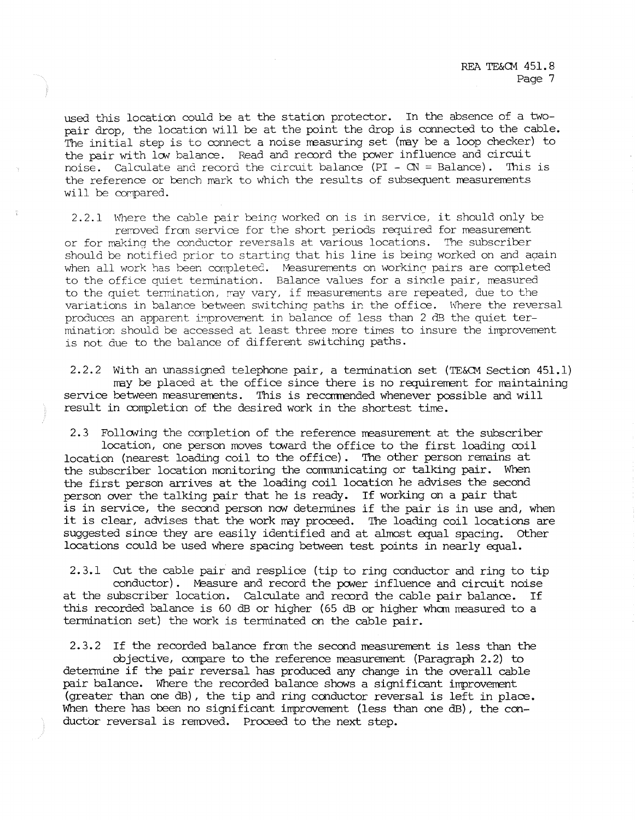used this location could be at the station protector. In the absence of a twopair drop, the location will be at the point the drop is connected to the cable. The initial step is to connect a noise measuring set (may be a loop checker) to the pair with low balance. Read and record the power influence and circuit noise. Calculate and record the circuit balance (PI - CN = Balance). This is noise. Calculate and record the circuit balance (PI -  $CN =$  Balance). the reference or bench mark to which the results of subsequent measurements will be compared.

2.2.1 Where the cable pair being worked on is in service, it should only be rerroved fran service for the short periods required for measurement or for making the conductor reversals at various locations. The subscriber should be notified prior to starting that his line is being worked on and aqain when all work has been completed. Measurements on working pairs are completed to the office quiet termination. Balance values for a sinole pair, measured to the quiet termination, may vary, if measurements are repeated, due to the variations in balance between switching paths ir. the office. Where the reversal produces an apparent improvement in balance of less than 2 dB the quiet termination should be accessed at least three more times to insure the improvement is not due to the balance of different switching paths.

2.2.2 With an unassigned telephone pair, a termination set (TE&CM Section  $451.1$ ) may be placed at the office since there is no requirement for maintaining service between measurements. This is recommended whenever possible and will result in oompletion of the desired work in the shortest time.

2.3 Following the completion of the reference measurement at the subscriber location, one person moves toward the office to the first loading  $\infty$ il location (nearest loading coil to the office). The other person remains at the subscriber location monitoring the conmunicating or talking pair. When the first person arrives at the loading coil location he advises the second person over the talking pair that he is ready. If working on a pair that is in service, the second person now determines if the pair is in use and, when it is clear, advises that the work may proceed. The loading coil locations are suggested since they are easily identified and at almost equal spacing. other locations could be used where spacing between test points in nearly equal.

2.3.1 cut the cable pair and resplice (tip to ring conductor and ring to tip conductor). Measure and record the power influence and circuit noise at the subscriber location. Calculate and reoord the cable pair balance. If this recorded balance is 60 dB or higher (65 dB or higher whom measured to a termination set) the work is terminated on the cable pair.

2.3.2 If the recorded balance fran the second measurement is less than the objective, compare to the reference measurement (Paragraph 2.2) to determine if the pair reversal has produced any change in the overall cable pair balance. Where the recorded balance shows a significant improvement (greater than one dB), the tip and ring conductor reversal is left in place. When there has been no significant improvement (less than one dB), the conductor reversal is removed. Proceed to the next step.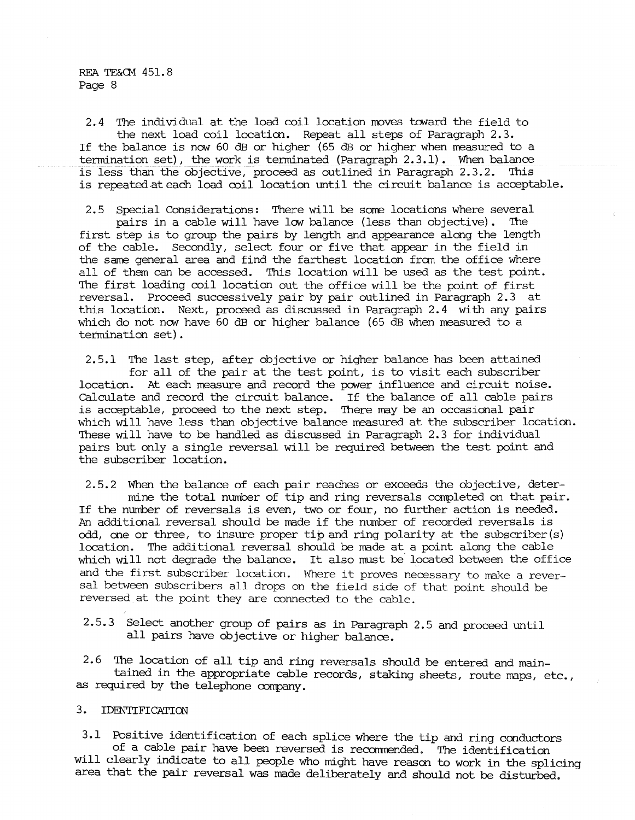2.4 The individual at the load coil location moves toward the field to the next load coil location. Repeat all steps of Paragraph 2.3. If the balance is now 60 dB or higher ( $65$  dB or higher when measured to a termination set), the work is terminated (Paragraph 2.3.1). When balance is less than the objective, proceed as outlined in Paragraph 2.3.2. This is repeated at each load coil location until the circuit balance is acceptable.

2.5 Special Considerations: There will be some locations where several pairs in a cable will have low balance (less than objective). The first step is to group the pairs by length and appearance along the length of the cable. Secondly, select four or five that appear in the field in the same general area and find the farthest location from the office where all of than can be accessed. This location will be used as the test point. The first loading coil location out the office will be the point of first reversal. Proceed successively pair by pair outlined in Paragraph 2.3 at this location. Next, proceed as discussed in Paragraph 2.4 with any pairs which do not now have 60 dB or higher balance (65 dB when measured to a termination set) .

2.5.1 The last step, after objective or higher balance has been attained for all of the pair at the test point, is to visit each subscriber location. At each measure and record the power influence and circuit noise. Calculate and record the circuit balance. If the balance of all cable pairs is acceptable, proceed to the next step. 'Ihere may be an occasional pair which will have less than objective balance measured at the subscriber location. 'Ihese will have to be handled as discussed in Paragraph 2.3 for individual pairs but only a single reversal will be required between the test point and the subscriber location.

2.5.2 When the balance of each pair reaches or exceeds the objective, determine the total number of tip and ring reversals completed on that pair. If the number of reversals is even, two or four, no further action is needed. An additional reversal should be made if the number of recorded reversals is odd, one or three, to insure proper tip and ring polarity at the subscriber(s) location. The additional reversal should be made at a point along the cable which will not degrade the balance. It also must be located between the office and the first subscriber location. Where it proves necessary to make a reversal between subscribers all drops on the field side of that point should be reversed at the point they are connected to the cable.

2.5.3 Select another group of pairs as in Paragraph 2.5 and proceed until all pairs have objective or higher balance.

2.6 The location of all tip and ring reversals should be entered and maintained in the appropriate cable records, staking sheets, route maps, etc., as required by the telephone corrpany.

## 3. IDENTIFICATION

3.1 Positive identification of each splice where the tip and ring conductors of a cable pair have been reversed is recommended. The identification will clearly indicate to all people who might have reason to work in the splicing area that the pair reversal was made deliberately and should not be disturbed.